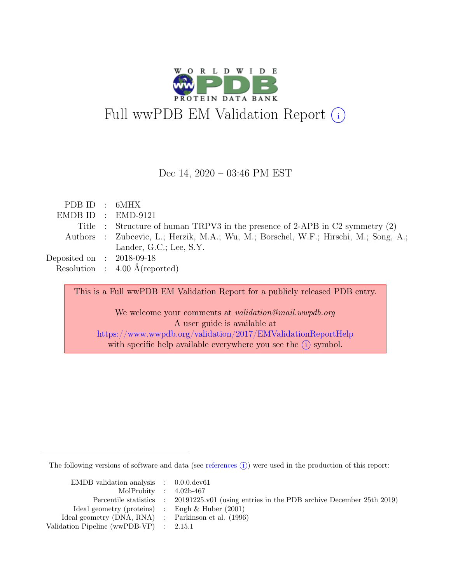

#### Dec 14, 2020 – 03:46 PM EST

| PDB ID : 6MHX               |                                                                                      |
|-----------------------------|--------------------------------------------------------------------------------------|
|                             | $EMDBID : EMD-9121$                                                                  |
|                             | Title : Structure of human TRPV3 in the presence of 2-APB in C2 symmetry $(2)$       |
|                             | Authors : Zubcevic, L.; Herzik, M.A.; Wu, M.; Borschel, W.F.; Hirschi, M.; Song, A.; |
|                             | Lander, G.C.; Lee, S.Y.                                                              |
| Deposited on : $2018-09-18$ |                                                                                      |
|                             | Resolution : $4.00 \text{ Å}$ (reported)                                             |
|                             |                                                                                      |
|                             | This is a Full wwPDB EM Validation Report for a publicly released PDB entry.         |

We welcome your comments at validation@mail.wwpdb.org A user guide is available at <https://www.wwpdb.org/validation/2017/EMValidationReportHelp> with specific help available everywhere you see the  $(i)$  symbol.

The following versions of software and data (see [references](https://www.wwpdb.org/validation/2017/EMValidationReportHelp#references)  $(i)$ ) were used in the production of this report:

| EMDB validation analysis $\therefore$ 0.0.0.dev61   |                                                                                            |
|-----------------------------------------------------|--------------------------------------------------------------------------------------------|
| MolProbity : $4.02b-467$                            |                                                                                            |
|                                                     | Percentile statistics : 20191225.v01 (using entries in the PDB archive December 25th 2019) |
| Ideal geometry (proteins) : Engh $\&$ Huber (2001)  |                                                                                            |
| Ideal geometry (DNA, RNA) : Parkinson et al. (1996) |                                                                                            |
| Validation Pipeline (wwPDB-VP) : $2.15.1$           |                                                                                            |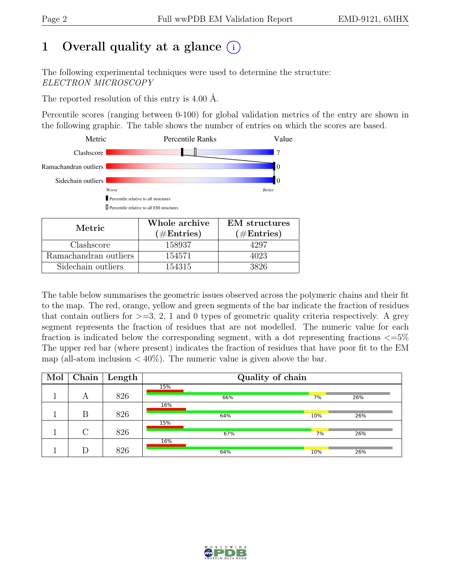# 1 Overall quality at a glance  $(i)$

The following experimental techniques were used to determine the structure: ELECTRON MICROSCOPY

The reported resolution of this entry is 4.00 Å.

Percentile scores (ranging between 0-100) for global validation metrics of the entry are shown in the following graphic. The table shows the number of entries on which the scores are based.



| Metric.               | Whole archive<br>$(\#Entries)$ | <b>EM</b> structures<br>$(\#Entries)$ |
|-----------------------|--------------------------------|---------------------------------------|
| Clashscore            | 158937                         | 4297                                  |
| Ramachandran outliers | 154571                         | 4023                                  |
| Sidechain outliers    | 154315                         | 3826                                  |

The table below summarises the geometric issues observed across the polymeric chains and their fit to the map. The red, orange, yellow and green segments of the bar indicate the fraction of residues that contain outliers for  $\geq$ =3, 2, 1 and 0 types of geometric quality criteria respectively. A grey segment represents the fraction of residues that are not modelled. The numeric value for each fraction is indicated below the corresponding segment, with a dot representing fractions  $\epsilon = 5\%$ The upper red bar (where present) indicates the fraction of residues that have poor fit to the EM map (all-atom inclusion  $\langle 40\% \rangle$ ). The numeric value is given above the bar.

| Mol |        | Chain   Length |     | Quality of chain |     |     |  |
|-----|--------|----------------|-----|------------------|-----|-----|--|
|     |        |                | 15% |                  |     |     |  |
|     | А      | 826            |     | 66%              | 7%  | 26% |  |
|     |        |                | 16% |                  |     |     |  |
|     | Β      | 826            |     | 64%              | 10% | 26% |  |
|     |        |                | 15% |                  |     |     |  |
|     | $\cap$ | 826            |     | 67%              | 7%  | 26% |  |
|     |        |                | 16% |                  |     |     |  |
|     |        | 826            |     | 64%              | 10% | 26% |  |

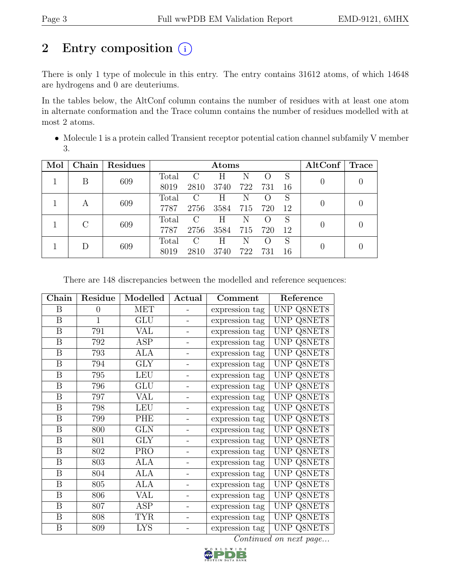# 2 Entry composition  $(i)$

There is only 1 type of molecule in this entry. The entry contains 31612 atoms, of which 14648 are hydrogens and 0 are deuteriums.

In the tables below, the AltConf column contains the number of residues with at least one atom in alternate conformation and the Trace column contains the number of residues modelled with at most 2 atoms.

• Molecule 1 is a protein called Transient receptor potential cation channel subfamily V member 3.

| Mol | Chain                       | Residues |       | $\rm{Atoms}$  |      |     |                  |     | AltConf | Trace |
|-----|-----------------------------|----------|-------|---------------|------|-----|------------------|-----|---------|-------|
|     | В                           | 609      | Total | $\mathcal{C}$ | Η    | N   |                  | S   |         |       |
|     |                             |          | 8019  | 2810          | 3740 | 722 | 731              | 16  |         |       |
|     |                             | 609      | Total | C             | Η    | N   |                  | S   |         |       |
|     | A                           |          | 7787  | 2756          | 3584 | 715 | 720              | -12 |         |       |
|     | $\mathcal{C}_{\mathcal{C}}$ | 609      | Total | C             | Η    | N   | $\left( \right)$ | S   |         |       |
|     |                             |          | 7787  | 2756          | 3584 | 715 | 720              | -12 |         |       |
|     |                             | 609      | Total | $\mathcal{C}$ | Н    | N   | $\left( \right)$ | S   |         |       |
|     |                             |          | 8019  | 2810          | 3740 | 722 | 731              | 16  |         |       |

There are 148 discrepancies between the modelled and reference sequences:

| Chain            | Residue        | Modelled   | Actual                   | Comment        | Reference            |
|------------------|----------------|------------|--------------------------|----------------|----------------------|
| B                | $\overline{0}$ | MET        |                          | expression tag | UNP Q8NET8           |
| $\overline{B}$   | $\overline{1}$ | <b>GLU</b> | $\qquad \qquad -$        | expression tag | <b>UNP Q8NET8</b>    |
| B                | 791            | VAL        |                          | expression tag | UNP Q8NET8           |
| B                | 792            | <b>ASP</b> | $\qquad \qquad -$        | expression tag | UNP Q8NET8           |
| $\boldsymbol{B}$ | 793            | ALA        | $\qquad \qquad -$        | expression tag | UNP Q8NET8           |
| $\boldsymbol{B}$ | 794            | <b>GLY</b> |                          | expression tag | <b>UNP Q8NET8</b>    |
| $\boldsymbol{B}$ | 795            | <b>LEU</b> |                          | expression tag | UNP Q8NET8           |
| B                | 796            | GLU        | $\overline{\phantom{0}}$ | expression tag | UNP Q8NET8           |
| B                | 797            | <b>VAL</b> |                          | expression tag | UNP Q8NET8           |
| $\boldsymbol{B}$ | 798            | <b>LEU</b> | $\qquad \qquad -$        | expression tag | UNP Q8NET8           |
| B                | 799            | PHE        | Ξ.                       | expression tag | UNP Q8NET8           |
| $\, {\bf B}$     | 800            | <b>GLN</b> | $\qquad \qquad -$        | expression tag | <b>UNP Q8NET8</b>    |
| B                | 801            | <b>GLY</b> |                          | expression tag | UNP Q8NET8           |
| B                | 802            | <b>PRO</b> |                          | expression tag | UNP Q8NET8           |
| $\boldsymbol{B}$ | 803            | <b>ALA</b> |                          | expression tag | UNP Q8NET8           |
| B                | 804            | <b>ALA</b> |                          | expression tag | UNP Q8NET8           |
| B                | 805            | ALA        |                          | expression tag | UNP<br>Q8NET8        |
| $\boldsymbol{B}$ | 806            | VAL        |                          | expression tag | UNP Q8NET8           |
| $\boldsymbol{B}$ | 807            | <b>ASP</b> |                          | expression tag | UNP Q8NET8           |
| $\boldsymbol{B}$ | 808            | <b>TYR</b> |                          | expression tag | Q8NET8<br><b>UNP</b> |
| B                | 809            | <b>LYS</b> |                          | expression tag | UNP Q8NET8           |

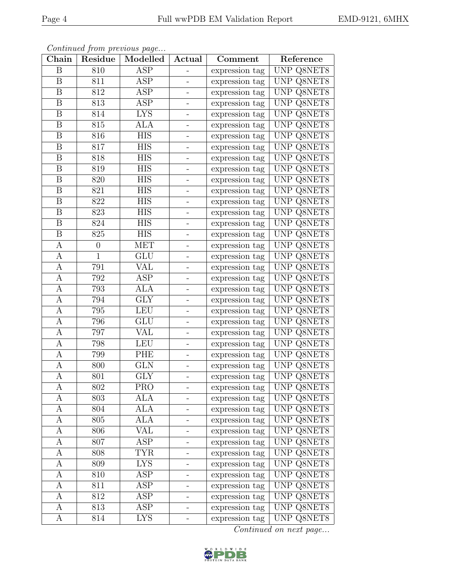| Chain            | Residue        | Continued from previous page<br>Modelled | Actual                       | Comment        | Reference         |
|------------------|----------------|------------------------------------------|------------------------------|----------------|-------------------|
| B                | 810            | ASP                                      |                              | expression tag | UNP Q8NET8        |
| $\boldsymbol{B}$ | 811            | <b>ASP</b>                               |                              | expression tag | UNP Q8NET8        |
| B                | 812            | ASP                                      |                              | expression tag | UNP Q8NET8        |
| B                | 813            | ASP                                      | $\qquad \qquad \blacksquare$ | expression tag | UNP Q8NET8        |
| $\boldsymbol{B}$ | 814            | <b>LYS</b>                               |                              | expression tag | UNP Q8NET8        |
| B                | 815            | ALA                                      | $\overline{\phantom{a}}$     | expression tag | UNP Q8NET8        |
| B                | 816            | <b>HIS</b>                               |                              | expression tag | UNP Q8NET8        |
| B                | 817            | <b>HIS</b>                               | $\qquad \qquad \blacksquare$ | expression tag | UNP Q8NET8        |
| B                | 818            | <b>HIS</b>                               |                              | expression tag | UNP Q8NET8        |
| $\boldsymbol{B}$ | 819            | <b>HIS</b>                               |                              | expression tag | UNP Q8NET8        |
| B                | 820            | <b>HIS</b>                               |                              | expression tag | UNP Q8NET8        |
| $\, {\bf B}$     | 821            | <b>HIS</b>                               | $\qquad \qquad -$            | expression tag | UNP Q8NET8        |
| $\, {\bf B}$     | 822            | <b>HIS</b>                               |                              | expression tag | UNP Q8NET8        |
| B                | 823            | <b>HIS</b>                               | $\overline{\phantom{a}}$     | expression tag | UNP Q8NET8        |
| $\boldsymbol{B}$ | 824            | $\overline{HIS}$                         |                              | expression tag | UNP Q8NET8        |
| B                | 825            | <b>HIS</b>                               | $\qquad \qquad -$            | expression tag | UNP Q8NET8        |
| A                | $\overline{0}$ | <b>MET</b>                               |                              | expression tag | UNP Q8NET8        |
| А                | 1              | GLU                                      | $\qquad \qquad \blacksquare$ | expression tag | UNP Q8NET8        |
| А                | 791            | <b>VAL</b>                               |                              | expression tag | UNP Q8NET8        |
| A                | 792            | ASP                                      |                              | expression tag | UNP Q8NET8        |
| А                | 793            | <b>ALA</b>                               |                              | expression tag | UNP Q8NET8        |
| А                | 794            | <b>GLY</b>                               |                              | expression tag | UNP Q8NET8        |
| A                | 795            | <b>LEU</b>                               | $\overline{\phantom{a}}$     | expression tag | UNP Q8NET8        |
| A                | 796            | <b>GLU</b>                               |                              | expression tag | UNP Q8NET8        |
| А                | 797            | VAL                                      | $\overline{\phantom{a}}$     | expression tag | UNP Q8NET8        |
| $\mathbf{A}$     | 798            | <b>LEU</b>                               |                              | expression tag | UNP Q8NET8        |
| A                | 799            | PHE                                      | $\qquad \qquad \blacksquare$ | expression tag | UNP Q8NET8        |
| $\boldsymbol{A}$ | 800            | <b>GLN</b>                               |                              | expression tag | UNP Q8NET8        |
| А                | 801            | GLY                                      | $\blacksquare$               | expression tag | UNP Q8NET8        |
| A                | 802            | <b>PRO</b>                               |                              | expression tag | UNP Q8NET8        |
| А                | 803            | ALA                                      |                              | expression tag | UNP Q8NET8        |
| А                | 804            | ALA                                      |                              | expression tag | UNP Q8NET8        |
| А                | 805            | <b>ALA</b>                               |                              | expression tag | <b>UNP Q8NET8</b> |
| А                | 806            | $\overline{\text{VAL}}$                  |                              | expression tag | <b>UNP Q8NET8</b> |
| A                | 807            | ASP                                      | $\overline{\phantom{0}}$     | expression tag | UNP Q8NET8        |
| А                | 808            | <b>TYR</b>                               | $\overline{\phantom{0}}$     | expression tag | <b>UNP Q8NET8</b> |
| А                | 809            | <b>LYS</b>                               | -                            | expression tag | UNP Q8NET8        |
| А                | 810            | ASP                                      |                              | expression tag | <b>UNP Q8NET8</b> |
| А                | 811            | ASP                                      |                              | expression tag | UNP Q8NET8        |
| А                | 812            | ASP                                      |                              | expression tag | <b>UNP Q8NET8</b> |
| А                | 813            | ASP                                      |                              | expression tag | UNP Q8NET8        |
| A                | 814            | LYS                                      |                              | expression tag | UNP Q8NET8        |

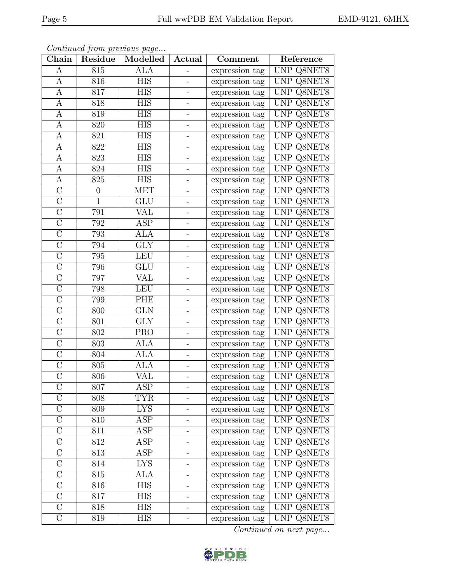| ${\rm Chain}$      | Residue          | Continued from previous page<br>Modelled | Actual                   | Comment        | Reference         |
|--------------------|------------------|------------------------------------------|--------------------------|----------------|-------------------|
| A                  | 815              | <b>ALA</b>                               |                          | expression tag | UNP Q8NET8        |
| A                  | 816              | <b>HIS</b>                               |                          | expression tag | UNP Q8NET8        |
| A                  | 817              | <b>HIS</b>                               |                          | expression tag | UNP Q8NET8        |
| А                  | 818              | <b>HIS</b>                               | $\overline{\phantom{0}}$ | expression tag | <b>UNP Q8NET8</b> |
| A                  | 819              | <b>HIS</b>                               |                          | expression tag | UNP Q8NET8        |
| A                  | 820              | <b>HIS</b>                               | $\overline{\phantom{0}}$ | expression tag | UNP Q8NET8        |
| $\boldsymbol{A}$   | 821              | <b>HIS</b>                               |                          | expression tag | UNP Q8NET8        |
| A                  | 822              | <b>HIS</b>                               | -                        | expression tag | UNP Q8NET8        |
| A                  | 823              | <b>HIS</b>                               |                          | expression tag | UNP Q8NET8        |
| $\boldsymbol{A}$   | 824              | <b>HIS</b>                               |                          | expression tag | UNP Q8NET8        |
| A                  | 825              | <b>HIS</b>                               |                          | expression tag | UNP Q8NET8        |
| $\overline{C}$     | $\boldsymbol{0}$ | <b>MET</b>                               | $\overline{\phantom{0}}$ | expression tag | UNP Q8NET8        |
| $\overline{C}$     | 1                | GLU                                      |                          | expression tag | UNP Q8NET8        |
| $\mathcal{C}$      | 791              | VAL                                      | $\overline{\phantom{0}}$ | expression tag | <b>UNP Q8NET8</b> |
| $\overline{C}$     | 792              | <b>ASP</b>                               |                          | expression tag | <b>UNP Q8NET8</b> |
| $\mathcal{C}$      | 793              | <b>ALA</b>                               | $\overline{\phantom{0}}$ | expression tag | UNP Q8NET8        |
| $\overline{C}$     | 794              | $\overline{\text{GLY}}$                  | $\overline{\phantom{0}}$ | expression tag | UNP Q8NET8        |
| $\overline{C}$     | 795              | <b>LEU</b>                               | $\overline{\phantom{0}}$ | expression tag | UNP Q8NET8        |
| $\overline{C}$     | 796              | <b>GLU</b>                               |                          | expression tag | UNP Q8NET8        |
| $\mathcal{C}$      | 797              | VAL                                      |                          | expression tag | UNP Q8NET8        |
| $\overline{C}$     | 798              | <b>LEU</b>                               | $\equiv$                 | expression tag | UNP Q8NET8        |
| $\overline{C}$     | 799              | PHE                                      |                          | expression tag | UNP Q8NET8        |
| $\mathcal{C}$      | 800              | <b>GLN</b>                               | $\overline{\phantom{0}}$ | expression tag | UNP Q8NET8        |
| $\overline{C}$     | 801              | <b>GLY</b>                               |                          | expression tag | UNP Q8NET8        |
| $\overline{C}$     | 802              | <b>PRO</b>                               | $\overline{\phantom{0}}$ | expression tag | UNP Q8NET8        |
| $\overline{C}$     | 803              | <b>ALA</b>                               |                          | expression tag | UNP Q8NET8        |
| $\overline{C}$     | 804              | <b>ALA</b>                               | $\overline{\phantom{0}}$ | expression tag | UNP Q8NET8        |
| $\mathcal{C}$      | 805              | <b>ALA</b>                               |                          | expression tag | UNP Q8NET8        |
| $\overline{\rm C}$ | 806              | VAL                                      |                          | expression tag | UNP Q8NET8        |
| $\mathcal{C}$      | 807              | ASP                                      |                          | expression tag | UNP Q8NET8        |
| $\mathcal{C}$      | 808              | TYR                                      |                          | expression tag | UNP Q8NET8        |
| $\overline{C}$     | 809              | <b>LYS</b>                               |                          | expression tag | UNP Q8NET8        |
| $\mathcal{C}$      | 810              | ASP                                      | -                        | expression tag | <b>UNP Q8NET8</b> |
| $\overline{\rm C}$ | 811              | $\overline{\text{ASP}}$                  |                          | expression tag | UNP Q8NET8        |
| $\mathcal C$       | 812              | ASP                                      | $\overline{\phantom{0}}$ | expression tag | <b>UNP Q8NET8</b> |
| $\overline{\rm C}$ | 813              | $\overline{\text{ASP}}$                  | -                        | expression tag | <b>UNP Q8NET8</b> |
| $\mathcal{C}$      | 814              | LYS                                      | -                        | expression tag | UNP Q8NET8        |
| $\overline{C}$     | 815              | ALA                                      |                          | expression tag | UNP Q8NET8        |
| $\mathcal{C}$      | 816              | <b>HIS</b>                               | -                        | expression tag | UNP Q8NET8        |
| $\mathcal{C}$      | 817              | <b>HIS</b>                               |                          | expression tag | UNP Q8NET8        |
| $\overline{\rm C}$ | 818              | HIS                                      |                          | expression tag | UNP Q8NET8        |
| $\mathcal{C}$      | 819              | HIS                                      |                          | expression tag | UNP Q8NET8        |

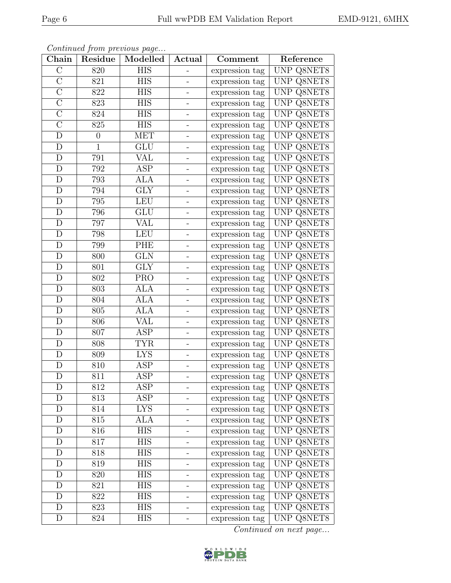| ${\rm Chain}$      | Continued from previous page<br>Modelled<br>Actual<br>Residue |                         |                          | Comment        | Reference         |
|--------------------|---------------------------------------------------------------|-------------------------|--------------------------|----------------|-------------------|
|                    |                                                               |                         |                          |                |                   |
| $\mathcal{C}$      | 820                                                           | <b>HIS</b>              |                          | expression tag | UNP Q8NET8        |
| $\overline{\rm C}$ | 821                                                           | <b>HIS</b>              |                          | expression tag | UNP Q8NET8        |
| $\overline{C}$     | 822                                                           | <b>HIS</b>              |                          | expression tag | UNP Q8NET8        |
| $\mathcal{C}$      | 823                                                           | <b>HIS</b>              | $\overline{\phantom{0}}$ | expression tag | <b>UNP Q8NET8</b> |
| $\overline{C}$     | 824                                                           | <b>HIS</b>              |                          | expression tag | UNP Q8NET8        |
| $\overline{C}$     | 825                                                           | <b>HIS</b>              | $\overline{\phantom{0}}$ | expression tag | UNP Q8NET8        |
| D                  | $\theta$                                                      | <b>MET</b>              |                          | expression tag | UNP Q8NET8        |
| D                  | $\mathbf{1}$                                                  | <b>GLU</b>              | -                        | expression tag | UNP Q8NET8        |
| D                  | 791                                                           | VAL                     |                          | expression tag | UNP Q8NET8        |
| D                  | 792                                                           | ASP                     |                          | expression tag | UNP Q8NET8        |
| D                  | 793                                                           | <b>ALA</b>              |                          | expression tag | UNP Q8NET8        |
| D                  | 794                                                           | $\overline{\text{GLY}}$ | $\overline{\phantom{0}}$ | expression tag | UNP Q8NET8        |
| D                  | 795                                                           | LEU                     |                          | expression tag | UNP Q8NET8        |
| D                  | 796                                                           | GLU                     | $\overline{\phantom{0}}$ | expression tag | <b>UNP Q8NET8</b> |
| D                  | 797                                                           | $\overline{\text{VAL}}$ |                          | expression tag | UNP Q8NET8        |
| D                  | 798                                                           | <b>LEU</b>              | $\overline{\phantom{0}}$ | expression tag | <b>UNP Q8NET8</b> |
| $\mathbf D$        | 799                                                           | PHE                     | $\overline{\phantom{0}}$ | expression tag | UNP Q8NET8        |
| D                  | 800                                                           | <b>GLN</b>              | $\overline{\phantom{0}}$ | expression tag | UNP Q8NET8        |
| D                  | 801                                                           | <b>GLY</b>              |                          | expression tag | UNP Q8NET8        |
| D                  | 802                                                           | <b>PRO</b>              | $\blacksquare$           | expression tag | UNP Q8NET8        |
| $\mathbf D$        | 803                                                           | <b>ALA</b>              | $\equiv$                 | expression tag | UNP Q8NET8        |
| D                  | 804                                                           | ALA                     |                          | expression tag | UNP Q8NET8        |
| D                  | 805                                                           | ALA                     | $\qquad \qquad -$        | expression tag | UNP Q8NET8        |
| D                  | 806                                                           | <b>VAL</b>              |                          | expression tag | UNP Q8NET8        |
| D                  | 807                                                           | ASP                     | $\overline{\phantom{0}}$ | expression tag | UNP Q8NET8        |
| D                  | 808                                                           | <b>TYR</b>              |                          | expression tag | UNP Q8NET8        |
| D                  | 809                                                           | <b>LYS</b>              | $\overline{\phantom{0}}$ | expression tag | UNP Q8NET8        |
| D                  | 810                                                           | ASP                     |                          | expression tag | UNP Q8NET8        |
| D                  | 811                                                           | ASP                     |                          | expression tag | UNP Q8NET8        |
| D                  | 812                                                           | ASP                     |                          | expression tag | UNP Q8NET8        |
| D                  | 813                                                           | ASP                     |                          | expression tag | UNP Q8NET8        |
| D                  | 814                                                           | <b>LYS</b>              |                          | expression tag | UNP Q8NET8        |
| D                  | 815                                                           | ALA                     |                          | expression tag | <b>UNP Q8NET8</b> |
| D                  | 816                                                           | $\overline{HIS}$        |                          | expression tag | UNP Q8NET8        |
| D                  | 817                                                           | <b>HIS</b>              | -                        | expression tag | <b>UNP Q8NET8</b> |
| D                  | 818                                                           | <b>HIS</b>              | -                        | expression tag | <b>UNP Q8NET8</b> |
| D                  | 819                                                           | HIS                     | -                        | expression tag | UNP Q8NET8        |
| D                  | 820                                                           | <b>HIS</b>              |                          | expression tag | UNP Q8NET8        |
| D                  | 821                                                           | <b>HIS</b>              | -                        | expression tag | UNP Q8NET8        |
| D                  | 822                                                           | <b>HIS</b>              |                          | expression tag | <b>UNP Q8NET8</b> |
| D                  | 823                                                           | HIS                     |                          | expression tag | UNP Q8NET8        |
| D                  | 824                                                           | HIS                     |                          | expression tag | UNP Q8NET8        |

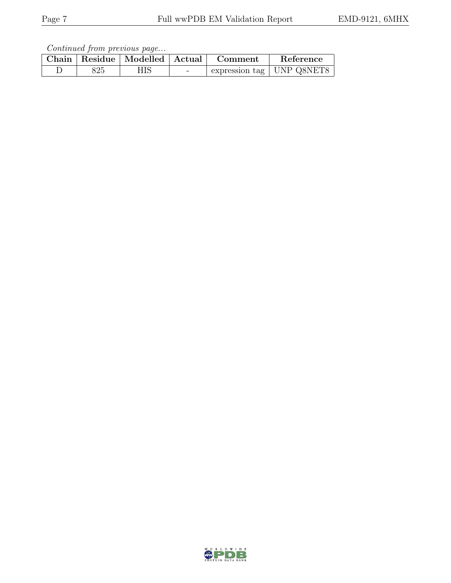|     | Chain   Residue   Modelled   Actual | Comment | Reference                   |
|-----|-------------------------------------|---------|-----------------------------|
| 325 | НIS                                 |         | expression tag   UNP Q8NET8 |

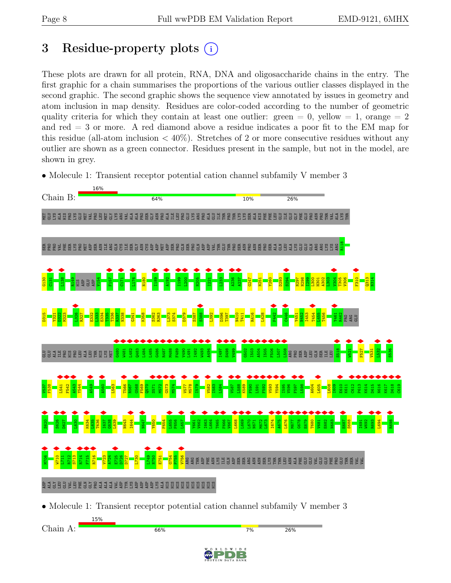# <span id="page-7-0"></span>3 Residue-property plots (i)

These plots are drawn for all protein, RNA, DNA and oligosaccharide chains in the entry. The first graphic for a chain summarises the proportions of the various outlier classes displayed in the second graphic. The second graphic shows the sequence view annotated by issues in geometry and atom inclusion in map density. Residues are color-coded according to the number of geometric quality criteria for which they contain at least one outlier: green  $= 0$ , yellow  $= 1$ , orange  $= 2$ and red = 3 or more. A red diamond above a residue indicates a poor fit to the EM map for this residue (all-atom inclusion  $\langle 40\% \rangle$ ). Stretches of 2 or more consecutive residues without any outlier are shown as a green connector. Residues present in the sample, but not in the model, are shown in grey.





• Molecule 1: Transient receptor potential cation channel subfamily V member 3

Chain A:



 $7%$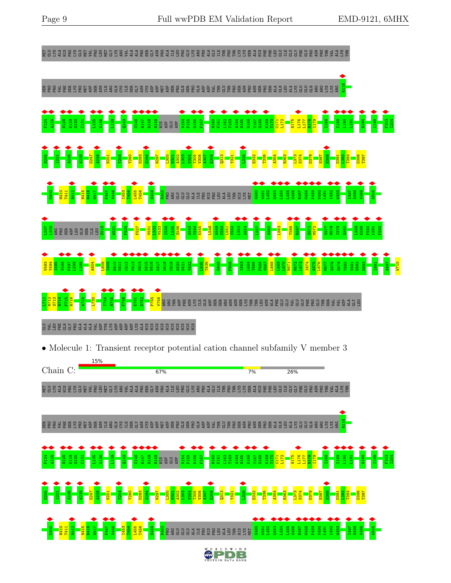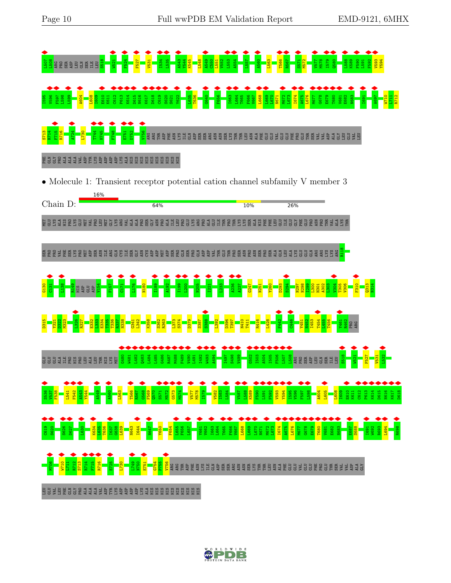

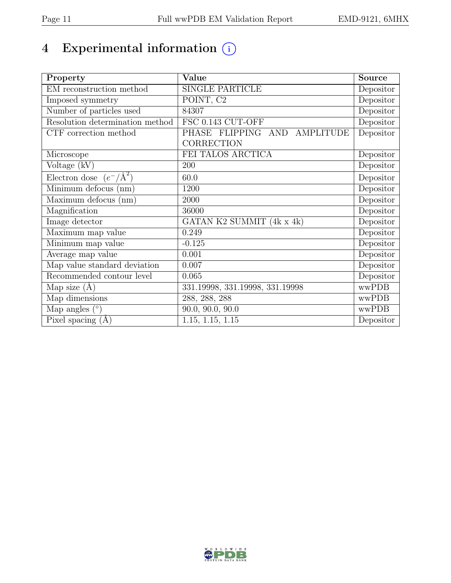# 4 Experimental information  $\circled$

| Property                           | Value                           | <b>Source</b> |
|------------------------------------|---------------------------------|---------------|
| EM reconstruction method           | <b>SINGLE PARTICLE</b>          | Depositor     |
| Imposed symmetry                   | POINT, C2                       | Depositor     |
| Number of particles used           | 84307                           | Depositor     |
| Resolution determination method    | FSC 0.143 CUT-OFF               | Depositor     |
| CTF correction method              | PHASE FLIPPING AND AMPLITUDE    | Depositor     |
|                                    | CORRECTION                      |               |
| Microscope                         | FEI TALOS ARCTICA               | Depositor     |
| Voltage (kV)                       | 200                             | Depositor     |
| Electron dose $(e^-/\text{\AA}^2)$ | 60.0                            | Depositor     |
| Minimum defocus (nm)               | 1200                            | Depositor     |
| Maximum defocus (nm)               | 2000                            | Depositor     |
| Magnification                      | 36000                           | Depositor     |
| Image detector                     | GATAN K2 SUMMIT (4k x 4k)       | Depositor     |
| Maximum map value                  | 0.249                           | Depositor     |
| Minimum map value                  | $-0.125$                        | Depositor     |
| Average map value                  | 0.001                           | Depositor     |
| Map value standard deviation       | 0.007                           | Depositor     |
| Recommended contour level          | 0.065                           | Depositor     |
| Map size $(A)$                     | 331.19998, 331.19998, 331.19998 | wwPDB         |
| Map dimensions                     | 288, 288, 288                   | wwPDB         |
| Map angles $(°)$                   | $\overline{90.0}$ , 90.0, 90.0  | wwPDB         |
| Pixel spacing $(A)$                | 1.15, 1.15, 1.15                | Depositor     |

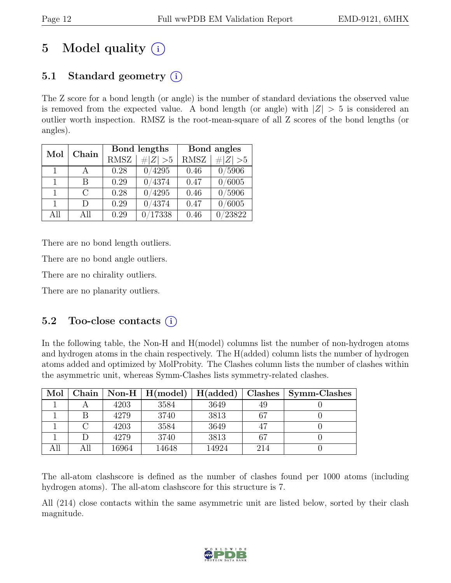# 5 Model quality  $(i)$

# 5.1 Standard geometry  $(i)$

The Z score for a bond length (or angle) is the number of standard deviations the observed value is removed from the expected value. A bond length (or angle) with  $|Z| > 5$  is considered an outlier worth inspection. RMSZ is the root-mean-square of all Z scores of the bond lengths (or angles).

| Mol          | Chain  |             | Bond lengths | Bond angles |             |  |
|--------------|--------|-------------|--------------|-------------|-------------|--|
|              |        | <b>RMSZ</b> | $\# Z  > 5$  | <b>RMSZ</b> | # $ Z  > 5$ |  |
| $\mathbf{1}$ | A      | 0.28        | 4295         | 0.46        | 0/5906      |  |
| 1            | R      | 0.29        | 0/4374       | 0.47        | 0/6005      |  |
| $\mathbf{1}$ | $\cap$ | 0.28        | 4295         | 0.46        | 0/5906      |  |
| 1.           | $\Box$ | 0.29        | 4374         | 0.47        | /6005       |  |
| All          | All    | 0.29        | 17338        | 0.46        | 23822       |  |

There are no bond length outliers.

There are no bond angle outliers.

There are no chirality outliers.

There are no planarity outliers.

#### 5.2 Too-close contacts  $(i)$

In the following table, the Non-H and H(model) columns list the number of non-hydrogen atoms and hydrogen atoms in the chain respectively. The H(added) column lists the number of hydrogen atoms added and optimized by MolProbity. The Clashes column lists the number of clashes within the asymmetric unit, whereas Symm-Clashes lists symmetry-related clashes.

| Mol | Chain |       | $\text{Non-H} \mid \text{H}(\text{model})$ | H(added) | Clashes | Symm-Clashes |
|-----|-------|-------|--------------------------------------------|----------|---------|--------------|
|     |       | 4203  | 3584                                       | 3649     | 49      |              |
|     |       | 4279  | 3740                                       | 3813     | 67      |              |
|     |       | 4203  | 3584                                       | 3649     | 47      |              |
|     |       | 4279  | 3740                                       | 3813     | 67      |              |
|     | All   | 16964 | 14648                                      | 14924    | 214     |              |

The all-atom clashscore is defined as the number of clashes found per 1000 atoms (including hydrogen atoms). The all-atom clashscore for this structure is 7.

All (214) close contacts within the same asymmetric unit are listed below, sorted by their clash magnitude.

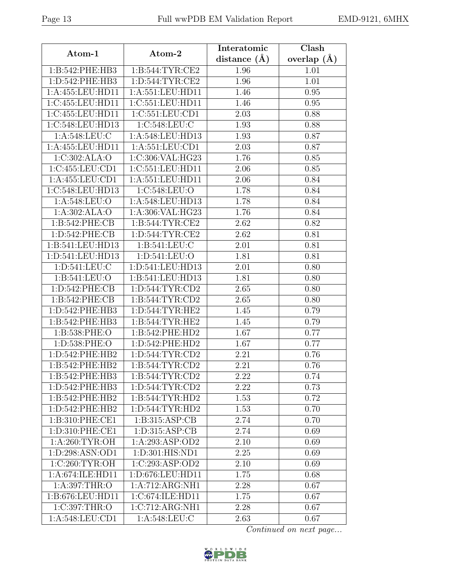|                     |                                 | Interatomic    | Clash         |  |
|---------------------|---------------------------------|----------------|---------------|--|
| Atom-1              | Atom-2                          | distance $(A)$ | overlap $(A)$ |  |
| 1:B:542:PHE:HB3     | 1: B:544: TYR: CE2              | 1.96           | 1.01          |  |
| 1:D:542:PHE:HB3     | 1: D: 544: TYR: CE2             | 1.96           | 1.01          |  |
| 1:A:455:LEU:HD11    | 1:A:551:LEU:HD11                | 1.46           | 0.95          |  |
| 1:C:455:LEU:HD11    | 1:C:551:LEU:HD11                | 1.46           | 0.95          |  |
| 1:C:455:LEU:HD11    | 1:C:551:LEU:CD1                 | 2.03           | 0.88          |  |
| 1:C:548:LEU:HD13    | 1:C:548:LEU:C                   | 1.93           | 0.88          |  |
| 1:A:548:LEU:C       | 1:A:548:LEU:HD13                | 1.93           | 0.87          |  |
| 1:A:455:LEU:HD11    | 1: A: 551: LEU: CD1             | 2.03           | 0.87          |  |
| 1:C:302:ALA:O       | 1:C:306:VAL:HG23                | 1.76           | 0.85          |  |
| 1:C:455:LEU:CD1     | 1:C:551:LEU:HD11                | 2.06           | 0.85          |  |
| 1:A:455:LEU:CD1     | 1:A:551:LEU:HD11                | 2.06           | 0.84          |  |
| 1:C:548:LEU:HD13    | 1:C:548:LEU:O                   | 1.78           | 0.84          |  |
| 1:A:548:LEU:O       | 1:A:548:LEU:HD13                | 1.78           | 0.84          |  |
| 1:A:302:ALA:O       | 1:A:306:VAL:HG23                | 1.76           | 0.84          |  |
| 1:B:542:PHE:CB      | 1:B:544:TYR:CE2                 | 2.62           | 0.82          |  |
| 1:D:542:PHE:CB      | 1: D: 544: TYR: CE2             | 2.62           | 0.81          |  |
| 1:B:541:LEU:HD13    | 1:B:541:LEU:C                   | 2.01           | 0.81          |  |
| 1:D:541:LEU:HD13    | 1:D:541:LEU:O                   | 1.81           | 0.81          |  |
| 1: D: 541: LEU: C   | 1:D:541:LEU:HD13                | 2.01           | 0.80          |  |
| 1:B:541:LEU:O       | 1:B:541:LEU:HD13                | 1.81           | 0.80          |  |
| 1:D:542:PHE:CB      | 1: D: 544: TYR: CD2             | 2.65           | 0.80          |  |
| 1:B:542:PHE:CB      | 1: B:544: TYR: CD2              | 2.65           | 0.80          |  |
| 1:D:542:PHE:HB3     | 1: D: 544: TYR: HE2             | 1.45           | 0.79          |  |
| 1:B:542:PHE:HB3     | 1:B:544:TYR:HE2                 | 1.45           | 0.79          |  |
| 1:B:538:PHE:O       | 1:B:542:PHE:HD2                 | 1.67           | 0.77          |  |
| 1:D:538:PHE:O       | 1:D:542:PHE:HD2                 | 1.67           | 0.77          |  |
| 1: D: 542: PHE: HB2 | 1: D: 544: TYR: CD2             | 2.21           | 0.76          |  |
| 1:B:542:PHE:HB2     | 1: B: 544: TYR: CD2             | 2.21           | 0.76          |  |
| 1:B:542:PHE:HB3     | 1: B: 544: TYR: CD2             | 2.22           | 0.74          |  |
| 1:D:542:PHE:HB3     | 1: D: 544: TYR: CD2             | 2.22           | 0.73          |  |
| 1:B:542:PHE:HB2     | 1: B: 544: TYR: HD2             | 1.53           | 0.72          |  |
| 1:D:542:PHE:HB2     | 1: D: 544: TYR: HD2             | 1.53           | 0.70          |  |
| 1:B:310:PHE:CE1     | 1: B: 315: ASP: CB              | 2.74           | 0.70          |  |
| 1:D:310:PHE:CE1     | 1: D: 315: ASP: CB              | 2.74           | 0.69          |  |
| 1: A:260:TYR:OH     | 1:A:293:ASP:OD2                 | 2.10           | 0.69          |  |
| 1:D:298:ASN:OD1     | $1: D:301: HIS: \overline{ND1}$ | 2.25           | 0.69          |  |
| 1:C:260:TYR:OH      | 1:C:293:ASP:OD2                 | 2.10           | 0.69          |  |
| 1:A:674:ILE:HD11    | 1:D:676:LEU:HD11                | 1.75           | 0.68          |  |
| 1:A:397:THR:O       | 1:A:712:ARG:NH1                 | 2.28           | 0.67          |  |
| 1:B:676:LEU:HD11    | 1:C:674:ILE:HD11                | 1.75           | 0.67          |  |
| 1:C:397:THR:O       | 1:C:712:ARG:NH1                 | 2.28           | 0.67          |  |
| 1:A:548:LEU:CD1     | 1: A:548:LEU: C                 | 2.63           | 0.67          |  |

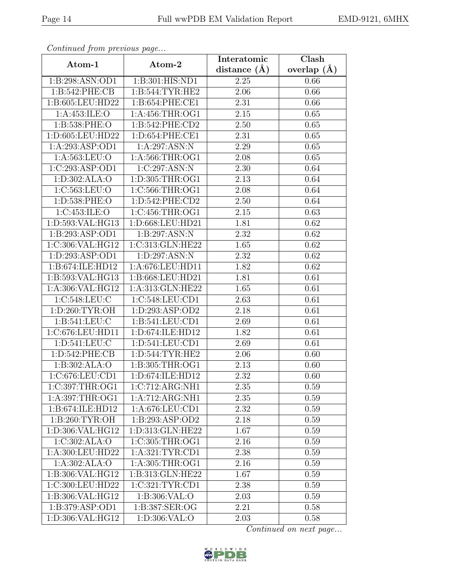| EMD-9121, 6MHX |  |
|----------------|--|
|----------------|--|

| Continuation procession pugo |                                | Interatomic        | Clash           |  |  |
|------------------------------|--------------------------------|--------------------|-----------------|--|--|
| Atom-1                       | Atom-2                         | distance $(A)$     | overlap $(\AA)$ |  |  |
| 1:B:298:ASN:OD1              | 1:B:301:HIS:ND1                | 2.25               | 0.66            |  |  |
| 1:B:542:PHE:CB               | 1: B:544: TYR: HE2             | 2.06               | 0.66            |  |  |
| 1:B:605:LEU:HD22             | 1:B:654:PHE:CE1                | 2.31               | 0.66            |  |  |
| 1: A:453: ILE: O             | 1:A:456:THR:OG1                | 2.15               | 0.65            |  |  |
| 1:B:538:PHE:O                | 1:B:542:PHE:CD2                | 2.50               | 0.65            |  |  |
| 1:D:605:LEU:HD22             | 1: D: 654: PHE: CE1            | 2.31               | 0.65            |  |  |
| 1:A:293:ASP:OD1              | 1:A:297:ASN:N                  | 2.29               | 0.65            |  |  |
| 1: A: 563: LEU: O            | 1:A:566:THR:OG1                | 2.08               | 0.65            |  |  |
| 1:C:293:ASP:OD1              | 1:C:297:ASN:N                  | 2.30               | 0.64            |  |  |
| 1: D: 302: ALA: O            | 1:D:305:THR:OG1                | 2.13               | 0.64            |  |  |
| 1:C:563:LEU:O                | 1:C:566:THR:OG1                | 2.08               | 0.64            |  |  |
| 1:D:538:PHE:O                | 1:D:542:PHE:CD2                | 2.50               | 0.64            |  |  |
| 1:C:453:ILE:O                | 1:C:456:THR:OG1                | 2.15               | 0.63            |  |  |
| 1:D:593:VAL:HG13             | $1: D:668: \overline{LU:HD21}$ | $\overline{1}$ .81 | 0.62            |  |  |
| 1:B:293:ASP:OD1              | 1:B:297:ASN:N                  | 2.32               | 0.62            |  |  |
| 1:C:306:VAL:HG12             | 1:C:313:GLN:HE22               | 1.65               | 0.62            |  |  |
| 1: D: 293: ASP: OD1          | 1:D:297:ASN:N                  | 2.32               | 0.62            |  |  |
| 1:B:674:ILE:HD12             | 1:A:676:LEU:HD11               | 1.82               | 0.62            |  |  |
| 1:B:593:VAL:HG13             | 1:B:668:LEU:HD21               | 1.81               | 0.61            |  |  |
| 1:A:306:VAL:HG12             | 1:A:313:GLN:HE22               | 1.65               | 0.61            |  |  |
| 1:C:548:LEU:C                | 1:C:548:LEU:CD1                | 2.63               | 0.61            |  |  |
| 1: D:260: TYR:OH             | 1:D:293:ASP:OD2                | 2.18               | 0.61            |  |  |
| 1: B:541: LEU: C             | 1:B:541:LEU:CD1                | 2.69               | 0.61            |  |  |
| 1:C:676:LEU:HD11             | 1:D:674:ILE:HD12               | 1.82               | 0.61            |  |  |
| 1: D:541: LEU: C             | 1: D:541: LEU: CD1             | 2.69               | 0.61            |  |  |
| 1:D:542:PHE:CB               | 1: D: 544: TYR: HE2            | 2.06               | 0.60            |  |  |
| 1:B:302:ALA:O                | 1:B:305:THR:OG1                | 2.13               | 0.60            |  |  |
| 1:C:676:LEU:CD1              | 1: D:674: ILE: HD12            | 2.32               | 0.60            |  |  |
| 1:C:397:THR:OG1              | 1:C:712:ARG:NH1                | 2.35               | 0.59            |  |  |
| 1:A:397:THR:OG1              | 1:A:712:ARG:NH1                | 2.35               | 0.59            |  |  |
| 1:B:674:ILE:HD12             | 1:A:676:LEU:CD1                | 2.32               | 0.59            |  |  |
| 1:B:260:TYR:OH               | 1:B:293:ASP:OD2                | 2.18               | 0.59            |  |  |
| 1:D:306:VAL:HG12             | 1:D:313:GLN:HE22               | 1.67               | 0.59            |  |  |
| 1:C:302:ALA:O                | 1:C:305:THR:OG1                | 2.16               | 0.59            |  |  |
| 1:A:300:LEU:HD22             | 1: A:321:TYR:CD1               | 2.38               | 0.59            |  |  |
| 1:A:302:ALA:O                | 1:A:305:THR:OG1                | 2.16               | 0.59            |  |  |
| 1:B:306:VAL:HG12             | 1:B:313:GLN:HE22               | 1.67               | 0.59            |  |  |
| 1:C:300:LEU:HD22             | 1:C:321:TYR:CD1                | 2.38               | 0.59            |  |  |
| 1:B:306:VAL:HG12             | 1:B:306:VAL:O                  | 2.03               | 0.59            |  |  |
| 1:B:379:ASP:OD1              | 1:B:387:SER:OG                 | 2.21               | 0.58            |  |  |
| 1:D:306:VAL:HG12             | 1:D:306:VAL:O                  | 2.03               | 0.58            |  |  |

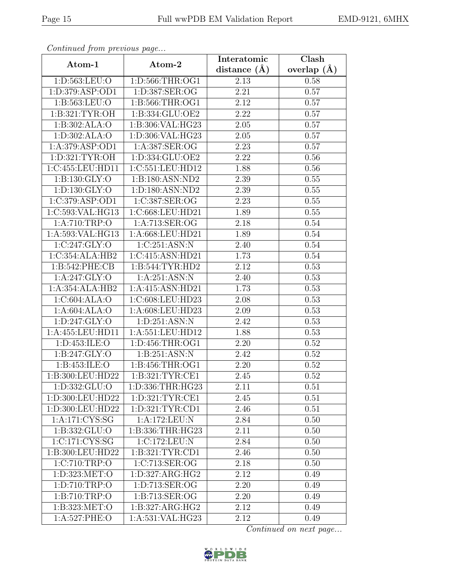| Continuation procession pugo  |                     | Interatomic       | Clash           |  |  |
|-------------------------------|---------------------|-------------------|-----------------|--|--|
| Atom-1                        | Atom-2              | distance $(A)$    | overlap $(\AA)$ |  |  |
| 1: D: 563: LEU: O             | 1:D:566:THR:OG1     | 2.13              | 0.58            |  |  |
| 1:D:379:ASP:OD1               | 1:D:387:SER:OG      | 2.21              | 0.57            |  |  |
| 1:B:563:LEU:O                 | 1:5:566:THR:OG1     | 2.12              | 0.57            |  |  |
| 1:B:321:TYR:OH                | 1:B:334:GLU:OE2     | 2.22              | 0.57            |  |  |
| 1:B:302:ALA:O                 | 1:B:306:VAL:HG23    | 2.05              | 0.57            |  |  |
| 1: D: 302: ALA: O             | 1:D:306:VAL:HG23    | 2.05              | 0.57            |  |  |
| 1:A:379:ASP:OD1               | 1:A:387:SER:OG      | $\overline{2.23}$ | 0.57            |  |  |
| 1:D:321:TYR:OH                | 1:D:334:GLU:OE2     | 2.22              | 0.56            |  |  |
| 1:C:455:LEU:HD11              | 1:C:551:LEU:HD12    | $\overline{1.88}$ | $0.56\,$        |  |  |
| 1:B:130:GLY:O                 | 1:B:180:ASN:ND2     | 2.39              | 0.55            |  |  |
| $1: D: 130: \overline{GLY:O}$ | 1:D:180:ASN:ND2     | 2.39              | $0.55\,$        |  |  |
| 1:C:379:ASP:OD1               | 1:C:387:SER:OG      | 2.23              | 0.55            |  |  |
| 1:C:593:VAL:HG13              | 1:C:668:LEU:HD21    | 1.89              | 0.55            |  |  |
| 1:A:710:TRP:O                 | 1:A:713:SER:OG      | 2.18              | 0.54            |  |  |
| 1:A:593:VAL:HG13              | 1:A:668:LEU:HD21    | 1.89              | 0.54            |  |  |
| 1:C:247:GLY:O                 | 1:C:251:ASN:N       | 2.40              | 0.54            |  |  |
| 1:C:354:ALA:HB2               | 1:C:415:ASN:HD21    | 1.73              | 0.54            |  |  |
| 1:B:542:PHE:CB                | 1: B: 544: TYR: HD2 | 2.12              | 0.53            |  |  |
| 1: A:247: GLY:O               | 1: A:251: ASN:N     | 2.40              | 0.53            |  |  |
| 1:A:354:ALA:HB2               | 1:A:415:ASN:HD21    | 1.73              | 0.53            |  |  |
| 1:C:604:ALA:O                 | 1:C:608:LEU:HD23    | 2.08              | 0.53            |  |  |
| 1:A:604:ALA:O                 | 1:A:608:LEU:HD23    | 2.09              | 0.53            |  |  |
| 1:D:247:GLY:O                 | 1: D:251: ASN: N    | 2.42              | 0.53            |  |  |
| 1:A:455:LEU:HD11              | 1:A:551:LEU:HD12    | 1.88              | 0.53            |  |  |
| 1:D:453:ILE:O                 | 1: D: 456: THR: OG1 | 2.20              | 0.52            |  |  |
| 1:B:247:GLY:O                 | 1:B:251:ASN:N       | 2.42              | 0.52            |  |  |
| 1:B:453:ILE:O                 | 1: B: 456: THR: OG1 | 2.20              | 0.52            |  |  |
| 1:B:300:LEU:HD22              | 1:B:321:TYR:CE1     | 2.45              | 0.52            |  |  |
| 1:D:332:GLU:O                 | 1:D:336:THR:HG23    | 2.11              | 0.51            |  |  |
| 1:D:300:LEU:HD22              | 1:D:321:TYR:CE1     | 2.45              | 0.51            |  |  |
| 1:D:300:LEU:HD22              | 1: D: 321: TYR: CD1 | 2.46              | 0.51            |  |  |
| 1:A:171:CYS:SG                | 1:A:172:LEU:N       | 2.84              | 0.50            |  |  |
| 1:B:332:GLU:O                 | 1:B:336:THR:HG23    | 2.11              | 0.50            |  |  |
| 1:C:171:CYS:SG                | 1:C:172:LEU:N       | 2.84              | 0.50            |  |  |
| 1:B:300:LEU:HD22              | 1:B:321:TYR:CD1     | 2.46              | 0.50            |  |  |
| 1:C:710:TRP:O                 | 1:C:713:SER:OG      | 2.18              | 0.50            |  |  |
| 1: D: 323: MET:O              | 1: D: 327: ARG: HG2 | 2.12              | 0.49            |  |  |
| 1:D:710:TRP:O                 | 1:D:713:SER:OG      | 2.20              | 0.49            |  |  |
| 1:B:710:TRP:O                 | 1:B:713:SER:OG      | 2.20              | 0.49            |  |  |
| 1:B:323:MET:O                 | 1:B:327:ARG:HG2     | 2.12              | 0.49            |  |  |
| 1:A:527:PHE:O                 | 1:A:531:VAL:HG23    | 2.12              | 0.49            |  |  |

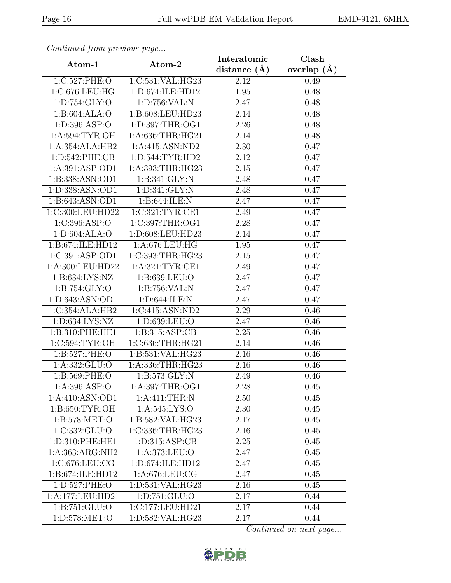| Continuation procession pugo |                      | Interatomic    | Clash           |  |  |
|------------------------------|----------------------|----------------|-----------------|--|--|
| Atom-1                       | Atom-2               | distance $(A)$ | overlap $(\AA)$ |  |  |
| 1:C:527:PHE:O                | 1:C:531:VAL:HG23     | 2.12           | 0.49            |  |  |
| 1:C:676:LEU:HG               | 1:D:674:ILE:HD12     | 1.95           | 0.48            |  |  |
| 1: D: 754: GLY: O            | 1:D:756:VAL:N        | 2.47           | 0.48            |  |  |
| 1:B:604:ALA:O                | 1:B:608:LEU:HD23     | 2.14           | 0.48            |  |  |
| 1: D: 396: ASP: O            | 1:D:397:THR:OG1      | 2.26           | 0.48            |  |  |
| 1: A:594: TYR:OH             | 1:A:636:THR:HG21     | 2.14           | 0.48            |  |  |
| 1:A:354:ALA:HB2              | 1: A: 415: ASN: ND2  | 2.30           | 0.47            |  |  |
| 1: D: 542: PHE: CB           | 1: D: 544: TYR: HD2  | 2.12           | 0.47            |  |  |
| 1: A:391: ASP:OD1            | 1:A:393:THR:HG23     | 2.15           | 0.47            |  |  |
| 1:B:338:ASN:OD1              | 1:B:341:GLY:N        | 2.48           | 0.47            |  |  |
| 1:D:338:ASN:OD1              | 1: D:341: GLY:N      | 2.48           | 0.47            |  |  |
| 1:B:643:ASN:OD1              | 1:B:644:ILE:N        | 2.47           | 0.47            |  |  |
| 1:C:300:LEU:HD22             | 1:C:321:TYR:CE1      | 2.49           | 0.47            |  |  |
| 1:C:396:ASP:O                | 1:C:397:THR:OG1      | 2.28           | 0.47            |  |  |
| 1:D:604:ALA:O                | 1:D:608:LEU:HD23     | 2.14           | 0.47            |  |  |
| 1:B:674:ILE:HD12             | 1:A:676:LEU:HG       | 1.95           | 0.47            |  |  |
| 1:C:391:ASP:OD1              | 1:C:393:THR:HG23     | 2.15           | 0.47            |  |  |
| 1:A:300:LEU:HD22             | 1: A:321:TYR:CE1     | 2.49           | 0.47            |  |  |
| 1:B:634:LYS:NZ               | 1:B:639:LEU:O        | 2.47           | 0.47            |  |  |
| 1: B: 754: GLY: O            | 1:B:756:VAL:N        | 2.47           | 0.47            |  |  |
| 1: D:643: ASN:OD1            | 1: D:644: ILE:N      | 2.47           | 0.47            |  |  |
| 1:C:354:ALA:HB2              | 1:C:415:ASN:ND2      | 2.29           | 0.46            |  |  |
| 1:D:634:LYS:NZ               | 1:D:639:LEU:O        | 2.47           | 0.46            |  |  |
| 1:B:310:PHE:HE1              | 1:B:315:ASP:CB       | 2.25           | 0.46            |  |  |
| 1:C:594:TYR:OH               | 1:C:636:THR:HG21     | 2.14           | 0.46            |  |  |
| 1:B:527:PHE:O                | 1:B:531:VAL:HG23     | 2.16           | 0.46            |  |  |
| 1: A: 332: GLU: O            | 1:A:336:THR:HG23     | 2.16           | 0.46            |  |  |
| 1:B:569:PHE:O                | 1:B:573:GLY:N        | 2.49           | 0.46            |  |  |
| 1:A:396:ASP:O                | 1:A:397:THR:OG1      | 2.28           | 0.45            |  |  |
| 1:A:410:ASN:OD1              | 1:A:411:THR:N        | 2.50           | 0.45            |  |  |
| 1:B:650:TYR:OH               | 1: A:545: LYS:O      | 2.30           | 0.45            |  |  |
| 1: B: 578: MET:O             | 1:B:582:VAL:HG23     | 2.17           | 0.45            |  |  |
| 1:C:332:GLU:O                | 1:C:336:THR:HG23     | 2.16           | 0.45            |  |  |
| 1:D:310:PHE:HE1              | 1: D: 315: ASP: CB   | 2.25           | 0.45            |  |  |
| 1:A:363:ARG:NH2              | 1: A:373: LEU:O      | 2.47           | 0.45            |  |  |
| 1:C:676:LEU:CG               | 1:D:674:ILE:HD12     | 2.47           | 0.45            |  |  |
| 1:B:674:ILE:HD12             | 1: A:676: LEU: CG    | 2.47           | 0.45            |  |  |
| 1:D:527:PHE:O                | 1:D:531:VAL:HG23     | 2.16           | 0.45            |  |  |
| 1:A:177:LEU:HD21             | 1: D: 751: GLU: O    | 2.17           | 0.44            |  |  |
| 1:B:751:GLU:O                | 1:C:177:LEU:HD21     | 2.17           | 0.44            |  |  |
| 1:D:578:MET:O                | 1: D: 582: VAL: HG23 | 2.17           | 0.44            |  |  |

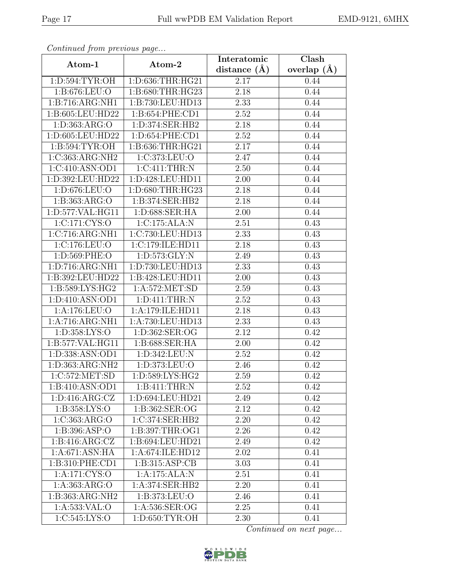| EMD-9121, 6MHX |  |
|----------------|--|
|----------------|--|

| Continuati jibin protibus puga |                     | Interatomic       | $\overline{\text{Clash}}$ |  |  |
|--------------------------------|---------------------|-------------------|---------------------------|--|--|
| Atom-1                         | Atom-2              | distance $(A)$    | overlap $(A)$             |  |  |
| 1:D:594:TYR:OH                 | 1:D:636:THR:HG21    | 2.17              | 0.44                      |  |  |
| 1:B:676:LEU:O                  | 1:B:680:THR:HG23    | $\overline{2.18}$ | 0.44                      |  |  |
| 1: B:716: ARG: NH1             | 1:B:730:LEU:HD13    | 2.33              | 0.44                      |  |  |
| 1:B:605:LEU:HD22               | 1:B:654:PHE:CD1     | 2.52              | 0.44                      |  |  |
| 1:D:363:ARG:O                  | 1:D:374:SER:HB2     | 2.18              | 0.44                      |  |  |
| 1:D:605:LEU:HD22               | 1:D:654:PHE:CD1     | 2.52              | 0.44                      |  |  |
| 1:B:594:TYR:OH                 | 1:B:636:THR:HG21    | 2.17              | 0.44                      |  |  |
| 1:C:363:ARG:NH2                | 1:C:373:LEU:O       | 2.47              | 0.44                      |  |  |
| 1:C:410:ASN:OD1                | 1:C:411:THR:N       | 2.50              | 0.44                      |  |  |
| 1:D:392:LEU:HD22               | 1:D:428:LEU:HD11    | 2.00              | 0.44                      |  |  |
| 1:D:676:LEU:O                  | 1:D:680:THR:HG23    | 2.18              | 0.44                      |  |  |
| 1:B:363:ARG:O                  | 1:B:374:SER:HB2     | 2.18              | 0.44                      |  |  |
| 1:D:577:VAL:HG11               | 1: D:688: SER: HA   | 2.00              | 0.44                      |  |  |
| 1:C:171:CYS:O                  | 1:C:175:ALA:N       | 2.51              | 0.43                      |  |  |
| 1:C:716:ARG:NH1                | 1:C:730:LEU:HD13    | 2.33              | 0.43                      |  |  |
| 1:C:176:LEU:O                  | 1:C:179:ILE:HD11    | 2.18              | 0.43                      |  |  |
| 1: D: 569: PHE: O              | 1:D:573:GLY:N       | 2.49              | 0.43                      |  |  |
| 1:D:716:ARG:NH1                | 1:D:730:LEU:HD13    | 2.33              | 0.43                      |  |  |
| 1:B:392:LEU:HD22               | 1:B:428:LEU:HD11    | 2.00              | 0.43                      |  |  |
| 1:B:589:LYS:HG2                | 1: A:572: MET:SD    | 2.59              | 0.43                      |  |  |
| 1:D:410:ASN:OD1                | 1: D: 411: THEN: N  | 2.52              | 0.43                      |  |  |
| 1:A:176:LEU:O                  | 1:A:179:ILE:HD11    | 2.18              | 0.43                      |  |  |
| 1:A:716:ARG:NH1                | 1:A:730:LEU:HD13    | 2.33              | 0.43                      |  |  |
| 1:D:358:LYS:O                  | 1:D:362:SER:OG      | 2.12              | 0.42                      |  |  |
| 1:B:577:VAL:HG11               | 1:B:688:SER:HA      | $2.00\,$          | 0.42                      |  |  |
| 1:D:338:ASN:OD1                | 1:D:342:LEU:N       | $2.52\,$          | 0.42                      |  |  |
| 1:D:363:ARG:NH2                | 1:D:373:LEU:O       | 2.46              | 0.42                      |  |  |
| 1:C:572:MET:SD                 | 1: D: 589: LYS: HG2 | 2.59              | 0.42                      |  |  |
| 1:B:410:ASN:OD1                | 1:B:411:THR:N       | 2.52              | 0.42                      |  |  |
| 1: D: 416: ARG: CZ             | 1:D:694:LEU:HD21    | 2.49              | 0.42                      |  |  |
| 1:B:358:LYS:O                  | 1: B: 362: SER: OG  | 2.12              | 0.42                      |  |  |
| 1:C:363:ARG:O                  | 1:C:374:SER:HB2     | 2.20              | 0.42                      |  |  |
| 1: B:396: ASP:O                | 1:B:397:THR:OG1     | 2.26              | 0.42                      |  |  |
| 1: B: 416: ARG: CZ             | 1:B:694:LEU:HD21    | 2.49              | 0.42                      |  |  |
| 1:A:671:ASN:HA                 | 1:A:674:ILE:HD12    | 2.02              | 0.41                      |  |  |
| 1:B:310:PHE:CD1                | 1:B:315:ASP:CB      | 3.03              | 0.41                      |  |  |
| 1:A:171:CYS:O                  | 1:A:175:ALA:N       | 2.51              | 0.41                      |  |  |
| 1:A:363:ARG:O                  | 1:A:374:SER:HB2     | 2.20              | 0.41                      |  |  |
| 1:B:363:ARG:NH2                | 1: B: 373: LEU: O   | 2.46              | 0.41                      |  |  |
| 1:A:533:VAL:O                  | 1:A:536:SER:OG      | 2.25              | 0.41                      |  |  |
| 1:C:545:LYS:O                  | 1:D:650:TYR:OH      | 2.30              | 0.41                      |  |  |

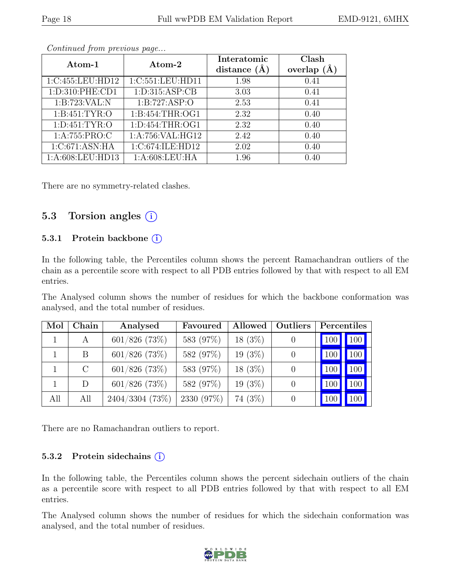| Atom-1            | Atom-2                               | Interatomic    | Clash          |  |
|-------------------|--------------------------------------|----------------|----------------|--|
|                   |                                      | distance $(A)$ | (A)<br>overlap |  |
| 1:C:455:LEU:HD12  | $1:\overline{C}:551:\text{LEU}:HD11$ | 1.98           | 0.41           |  |
| 1:D:310:PHE:CD1   | 1: D: 315: ASP: CB                   | 3.03           | 0.41           |  |
| 1:B:723:VAL:N     | 1:B:727:ASP:O                        | 2.53           | 0.41           |  |
| 1:B:451:TYR:O     | 1: B: 454: THR: OG1                  | 2.32           | 0.40           |  |
| 1: D: 451: TYR: O | 1: D: 454: THR: OG1                  | 2.32           | 0.40           |  |
| 1:A:755:PRO:C     | 1:A:756:VAL:HG12                     | 2.42           | 0.40           |  |
| 1:C:671:ASN:HA    | 1:C:674:ILE:HD12                     | 2.02           | 0.40           |  |
| 1:A:608:LEU:HD13  | 1: A:608:LEU:HA                      | 1.96           | 0.40           |  |

There are no symmetry-related clashes.

### 5.3 Torsion angles  $(i)$

#### 5.3.1 Protein backbone ①

In the following table, the Percentiles column shows the percent Ramachandran outliers of the chain as a percentile score with respect to all PDB entries followed by that with respect to all EM entries.

The Analysed column shows the number of residues for which the backbone conformation was analysed, and the total number of residues.

| Mol | Chain   | Analysed          | Favoured   | Allowed   | Outliers | Percentiles |                  |
|-----|---------|-------------------|------------|-----------|----------|-------------|------------------|
|     | A       | $601/826$ (73\%)  | 583 (97%)  | $18(3\%)$ |          | 100         | 100              |
|     | B       | $601/826$ (73\%)  | 582 (97%)  | $19(3\%)$ |          | 100         | 100              |
|     | $\rm C$ | $601/826$ (73%)   | 583 (97%)  | $18(3\%)$ |          | 100         | 100              |
|     | D       | $601/826$ (73%)   | 582 (97%)  | $19(3\%)$ |          | 100         | 100              |
| All | All     | $2404/3304$ (73%) | 2330 (97%) | 74 (3%)   |          | 100         | 100 <sub>l</sub> |

There are no Ramachandran outliers to report.

#### 5.3.2 Protein side chains  $(i)$

In the following table, the Percentiles column shows the percent sidechain outliers of the chain as a percentile score with respect to all PDB entries followed by that with respect to all EM entries.

The Analysed column shows the number of residues for which the sidechain conformation was analysed, and the total number of residues.

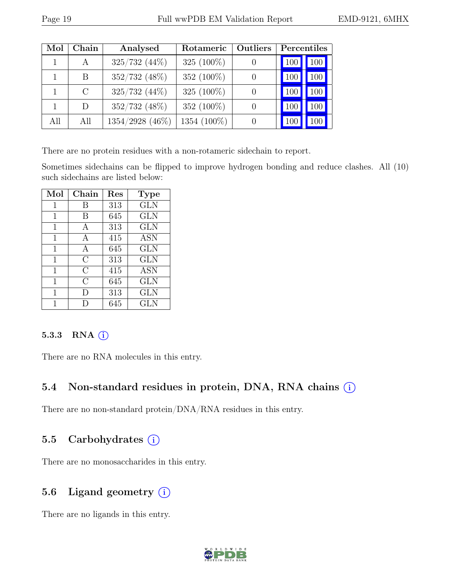| Mol | ${\rm Chain}$ | Analysed           | Outliers<br>Rotameric |  | Percentiles            |  |
|-----|---------------|--------------------|-----------------------|--|------------------------|--|
|     |               | $325/732$ $(44\%)$ | 325 $(100\%)$         |  | 100<br>10 <sup>0</sup> |  |
|     | B             | 352/732 (48%)      | 352 (100\%)           |  | 100<br>100             |  |
|     | $\mathcal{C}$ | $325/732$ $(44\%)$ | 325 (100%)            |  | 100<br>100             |  |
|     | D             | 352/732 (48%)      | 352 (100%)            |  | 100<br>100             |  |
| All | All           | $1354/2928$ (46\%) | 1354 (100%)           |  | 10                     |  |

There are no protein residues with a non-rotameric sidechain to report.

Sometimes sidechains can be flipped to improve hydrogen bonding and reduce clashes. All (10) such sidechains are listed below:

| Mol | Chain          | Res | <b>Type</b> |
|-----|----------------|-----|-------------|
| 1   | В              | 313 | <b>GLN</b>  |
| 1   | В              | 645 | GLN         |
| 1   | A              | 313 | GLN         |
| 1   | А              | 415 | <b>ASN</b>  |
| 1   | А              | 645 | GLN         |
| 1   | $\rm C$        | 313 | GLN         |
| 1   | $\overline{C}$ | 415 | <b>ASN</b>  |
| 1   | $\rm C$        | 645 | <b>GLN</b>  |
| 1   | $\Box$         | 313 | GLN         |
|     |                | 645 | GLN         |

#### 5.3.3 RNA  $(i)$

There are no RNA molecules in this entry.

## 5.4 Non-standard residues in protein, DNA, RNA chains  $(i)$

There are no non-standard protein/DNA/RNA residues in this entry.

#### 5.5 Carbohydrates  $(i)$

There are no monosaccharides in this entry.

### 5.6 Ligand geometry  $(i)$

There are no ligands in this entry.

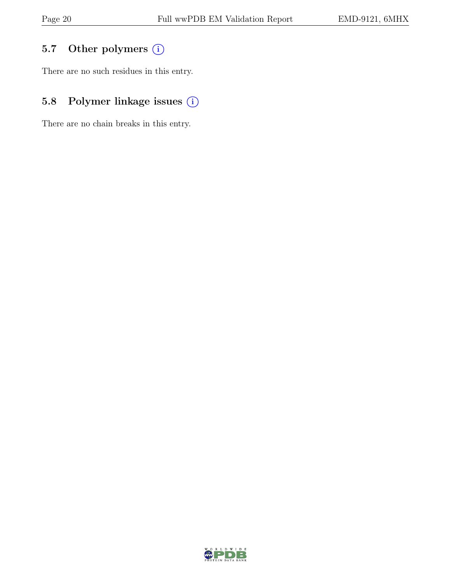# 5.7 Other polymers (i)

There are no such residues in this entry.

# 5.8 Polymer linkage issues  $(i)$

There are no chain breaks in this entry.

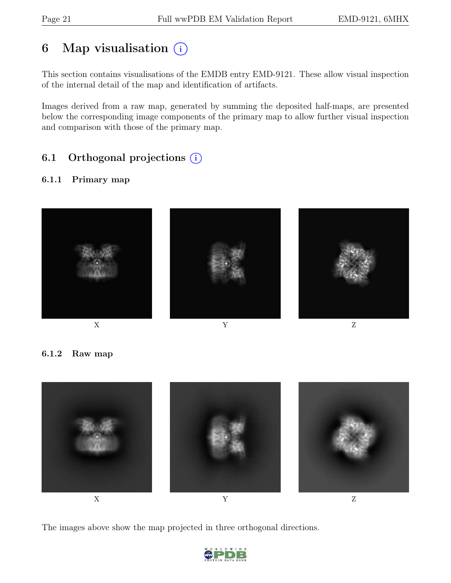# 6 Map visualisation  $(i)$

This section contains visualisations of the EMDB entry EMD-9121. These allow visual inspection of the internal detail of the map and identification of artifacts.

Images derived from a raw map, generated by summing the deposited half-maps, are presented below the corresponding image components of the primary map to allow further visual inspection and comparison with those of the primary map.

# 6.1 Orthogonal projections (i)

#### 6.1.1 Primary map



6.1.2 Raw map



The images above show the map projected in three orthogonal directions.

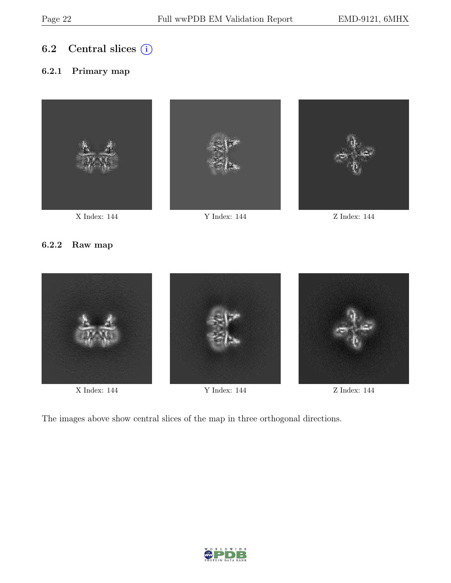## 6.2 Central slices  $(i)$

#### 6.2.1 Primary map







X Index: 144 Y Index: 144 Z Index: 144

#### 6.2.2 Raw map



X Index: 144 Y Index: 144 Z Index: 144

The images above show central slices of the map in three orthogonal directions.

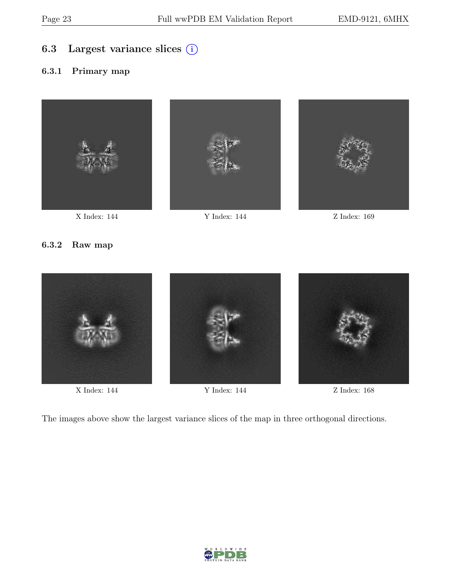## 6.3 Largest variance slices (i)

#### 6.3.1 Primary map







X Index: 144 Y Index: 144 Z Index: 169

#### 6.3.2 Raw map



X Index: 144 Y Index: 144 Z Index: 168

The images above show the largest variance slices of the map in three orthogonal directions.

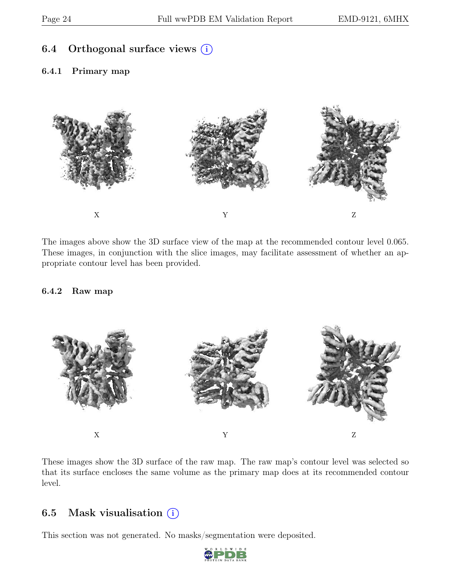### 6.4 Orthogonal surface views  $(i)$

#### 6.4.1 Primary map



The images above show the 3D surface view of the map at the recommended contour level 0.065. These images, in conjunction with the slice images, may facilitate assessment of whether an appropriate contour level has been provided.

#### 6.4.2 Raw map



These images show the 3D surface of the raw map. The raw map's contour level was selected so that its surface encloses the same volume as the primary map does at its recommended contour level.

### 6.5 Mask visualisation  $(i)$

This section was not generated. No masks/segmentation were deposited.

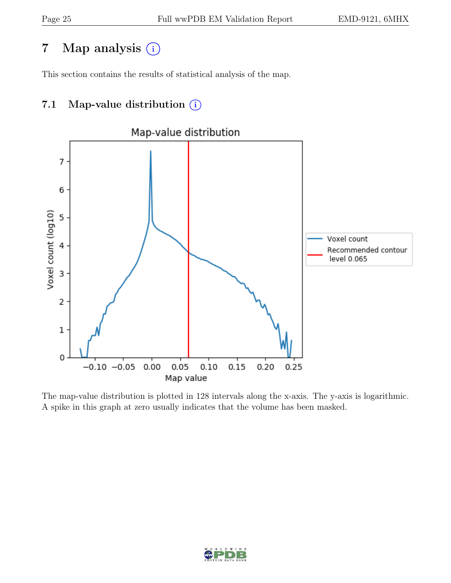# 7 Map analysis (i)

This section contains the results of statistical analysis of the map.

# 7.1 Map-value distribution  $(i)$



The map-value distribution is plotted in 128 intervals along the x-axis. The y-axis is logarithmic. A spike in this graph at zero usually indicates that the volume has been masked.

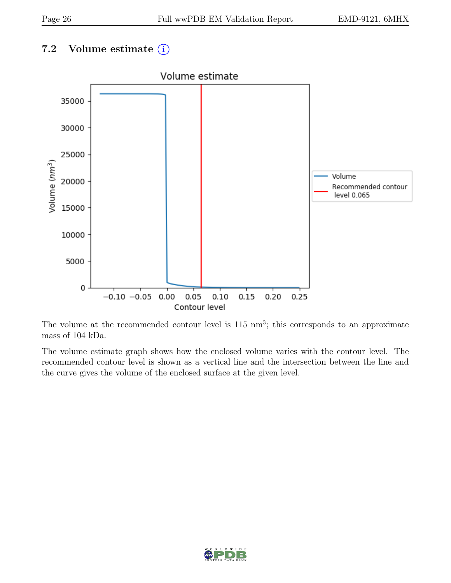# 7.2 Volume estimate  $(i)$



The volume at the recommended contour level is  $115 \text{ nm}^3$ ; this corresponds to an approximate mass of 104 kDa.

The volume estimate graph shows how the enclosed volume varies with the contour level. The recommended contour level is shown as a vertical line and the intersection between the line and the curve gives the volume of the enclosed surface at the given level.

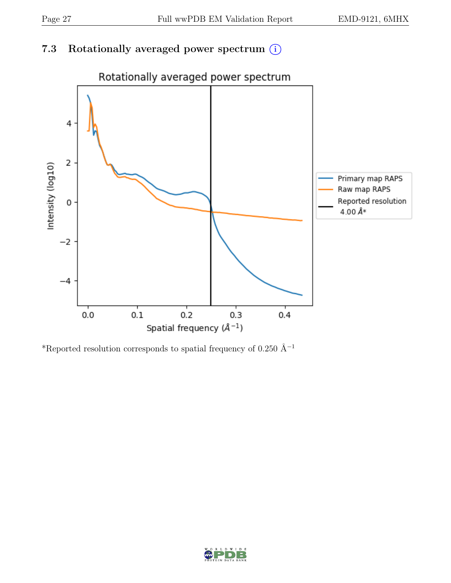## 7.3 Rotationally averaged power spectrum  $(i)$



\*Reported resolution corresponds to spatial frequency of 0.250 Å<sup>-1</sup>

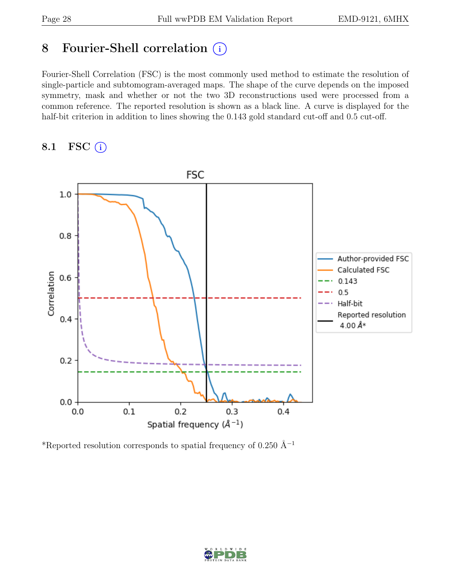# 8 Fourier-Shell correlation (i)

Fourier-Shell Correlation (FSC) is the most commonly used method to estimate the resolution of single-particle and subtomogram-averaged maps. The shape of the curve depends on the imposed symmetry, mask and whether or not the two 3D reconstructions used were processed from a common reference. The reported resolution is shown as a black line. A curve is displayed for the half-bit criterion in addition to lines showing the 0.143 gold standard cut-off and 0.5 cut-off.

#### 8.1 FSC  $(i)$



\*Reported resolution corresponds to spatial frequency of 0.250 Å<sup>-1</sup>

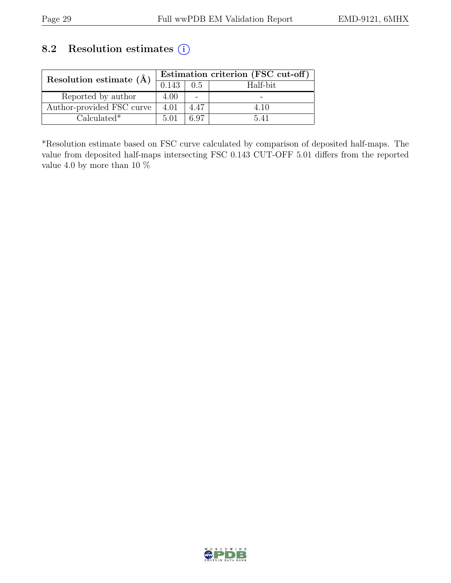## 8.2 Resolution estimates (i)

| Resolution estimate $(\AA)$ | Estimation criterion (FSC cut-off) |      |          |
|-----------------------------|------------------------------------|------|----------|
|                             | 0.143                              | 0.5  | Half-bit |
| Reported by author          | 4.00                               |      |          |
| Author-provided FSC curve   | 4.01                               | 4.47 | 4.10     |
| $Calculated*$               | 5.01                               | ና 97 | 5 41     |

\*Resolution estimate based on FSC curve calculated by comparison of deposited half-maps. The value from deposited half-maps intersecting FSC 0.143 CUT-OFF 5.01 differs from the reported value 4.0 by more than 10  $\%$ 

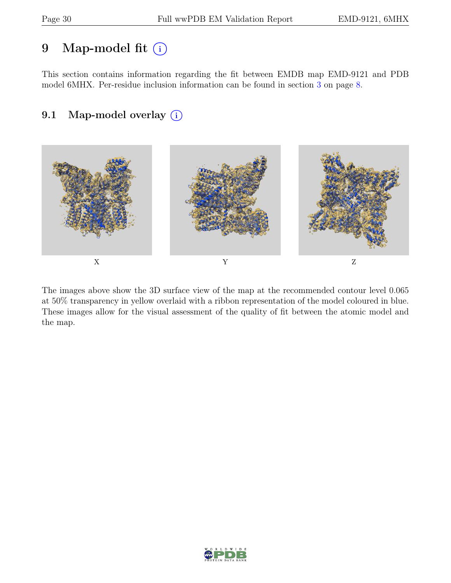# 9 Map-model fit  $(i)$

This section contains information regarding the fit between EMDB map EMD-9121 and PDB model 6MHX. Per-residue inclusion information can be found in section [3](#page-7-0) on page [8.](#page-7-0)

# 9.1 Map-model overlay (i)



The images above show the 3D surface view of the map at the recommended contour level 0.065 at 50% transparency in yellow overlaid with a ribbon representation of the model coloured in blue. These images allow for the visual assessment of the quality of fit between the atomic model and the map.